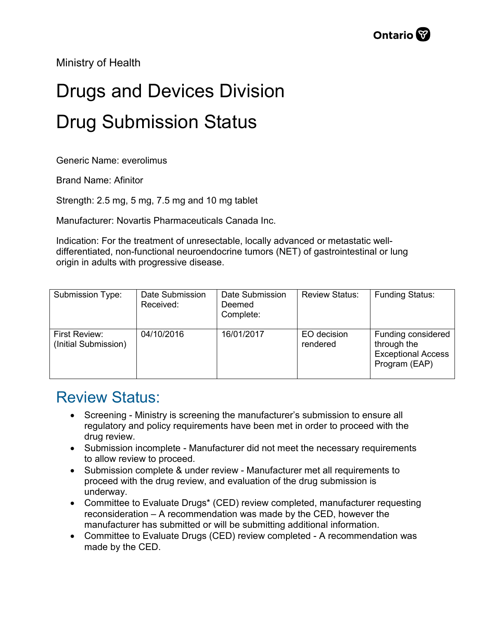Ministry of Health

## Drugs and Devices Division Drug Submission Status

Generic Name: everolimus

Brand Name: Afinitor

Strength: 2.5 mg, 5 mg, 7.5 mg and 10 mg tablet

Manufacturer: Novartis Pharmaceuticals Canada Inc.

Indication: For the treatment of unresectable, locally advanced or metastatic welldifferentiated, non-functional neuroendocrine tumors (NET) of gastrointestinal or lung origin in adults with progressive disease.

| Submission Type:                      | Date Submission<br>Received: | Date Submission<br>Deemed<br>Complete: | <b>Review Status:</b>   | <b>Funding Status:</b>                                                          |
|---------------------------------------|------------------------------|----------------------------------------|-------------------------|---------------------------------------------------------------------------------|
| First Review:<br>(Initial Submission) | 04/10/2016                   | 16/01/2017                             | EO decision<br>rendered | Funding considered<br>through the<br><b>Exceptional Access</b><br>Program (EAP) |

## Review Status:

- Screening Ministry is screening the manufacturer's submission to ensure all regulatory and policy requirements have been met in order to proceed with the drug review.
- Submission incomplete Manufacturer did not meet the necessary requirements to allow review to proceed.
- Submission complete & under review Manufacturer met all requirements to proceed with the drug review, and evaluation of the drug submission is underway.
- Committee to Evaluate Drugs\* (CED) review completed, manufacturer requesting reconsideration – A recommendation was made by the CED, however the manufacturer has submitted or will be submitting additional information.
- Committee to Evaluate Drugs (CED) review completed A recommendation was made by the CED.